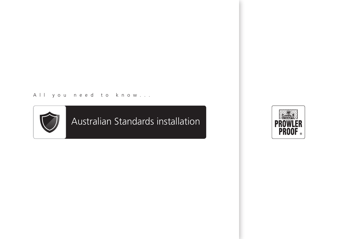#### All you need to know...



Australian Standards installation

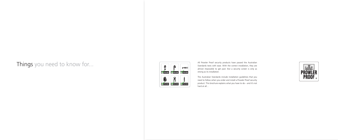## Things you need to know for...



All Prowler Proof security products have passed the Australian Standards tests with ease. With the correct installation, they are almost impossible to get past. But a security screen is only as strong as its installation.

The Australian Standards include installation guidelines that you need to follow when you order and install a Prowler Proof security product. This brochure explains what you have to do – and it's not



hard at all…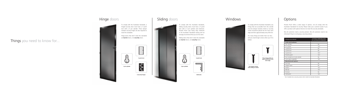To comply with the Australian Standards, a

## Things you need to know for...



hinged security door must have a 3 point lock with a 5 pin cylinder. Three tamper resistant security hinges are also required to meet the standards.

Hinge doors that don't meet the standards



are **barrier** doors, not **security** doors.



**3 security hinges Interlocks**

# Hinge doors Sliding doors



To comply with the Australian Standards, sliding security doors must have a 3 point lock with a 5 pin cylinder and interlocks. Prowler Proof uses heavy duty interlocks in the Australian Standards testing and we strongly recommend that you do the same.

Sliding doors that don't meet the standards are **barrier** doors, not **security** doors.

**5 pin cylinder**

**3 point lock**



**5 pin cylinder**

E



**3 point lock**



To comply with the Australian Standards, any fixings that are accessible from the outside must be tamper resistant. Rivets or security screws should be placed 50 mm from each edge and then approximately every 300 mm.

Too many fixings are better than too few… and you need longer screws when you fit to timber.



#### Windows



Prowler Proof offers a wide range of options, not all comply with the Australian Standards for security. Please make your customer aware if you offer a product with options that do not meet the security standards.

Not all customers need a security product. But all customers need to be informed if they're not buying a security product.

**Place fixings 300 mm** 

**apart and 50 mm from each edge**

### **Options**

**Use longer screws when fitting to timber**

 $\overline{\phantom{a}}$ 

| J |  |  |
|---|--|--|
|   |  |  |
|   |  |  |
|   |  |  |
|   |  |  |
|   |  |  |
|   |  |  |
|   |  |  |
|   |  |  |
|   |  |  |
|   |  |  |
|   |  |  |
|   |  |  |
|   |  |  |
|   |  |  |

| <b>OPTION OR ACCESSORY</b>    | IS OPTION COMPATIBLE WITH<br>THE AUSTRALIAN STANDARDS? |  |
|-------------------------------|--------------------------------------------------------|--|
| Locks and hardware            |                                                        |  |
| Disc cylinder                 | Nο                                                     |  |
| Pin cylinder                  | Yes*                                                   |  |
| 1 point lock                  | No                                                     |  |
| 2 point lock                  | No                                                     |  |
| 3 point lock                  | Yes*                                                   |  |
| Prowler guard                 | Yes*                                                   |  |
| Non handed turn knob cylinder | Nο                                                     |  |
| Insect gauze upgrades         | Yes*                                                   |  |
| <b>Manufactured options</b>   |                                                        |  |
| Port hole                     | No                                                     |  |
| Hopper hatch                  | No                                                     |  |
| Mullion                       | Yes*                                                   |  |
| Mid rail                      | Yes*                                                   |  |
| Pet door                      | No                                                     |  |
| Solid panel                   | Yes*                                                   |  |

\* Yes if installed onto a security product which meets the Australian Standards